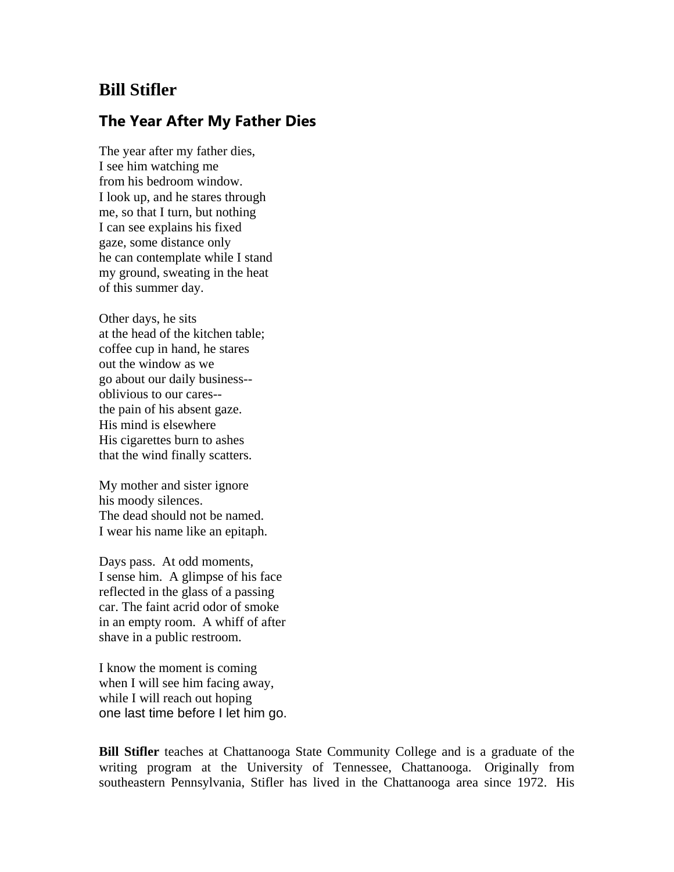## **Bill Stifler**

## **The Year After My Father Dies**

The year after my father dies, I see him watching me from his bedroom window. I look up, and he stares through me, so that I turn, but nothing I can see explains his fixed gaze, some distance only he can contemplate while I stand my ground, sweating in the heat of this summer day.

Other days, he sits at the head of the kitchen table; coffee cup in hand, he stares out the window as we go about our daily business- oblivious to our cares- the pain of his absent gaze. His mind is elsewhere His cigarettes burn to ashes that the wind finally scatters.

My mother and sister ignore his moody silences. The dead should not be named. I wear his name like an epitaph.

Days pass. At odd moments, I sense him. A glimpse of his face reflected in the glass of a passing car. The faint acrid odor of smoke in an empty room. A whiff of after shave in a public restroom.

I know the moment is coming when I will see him facing away, while I will reach out hoping one last time before I let him go.

**Bill Stifler** teaches at Chattanooga State Community College and is a graduate of the writing program at the University of Tennessee, Chattanooga. Originally from southeastern Pennsylvania, Stifler has lived in the Chattanooga area since 1972. His